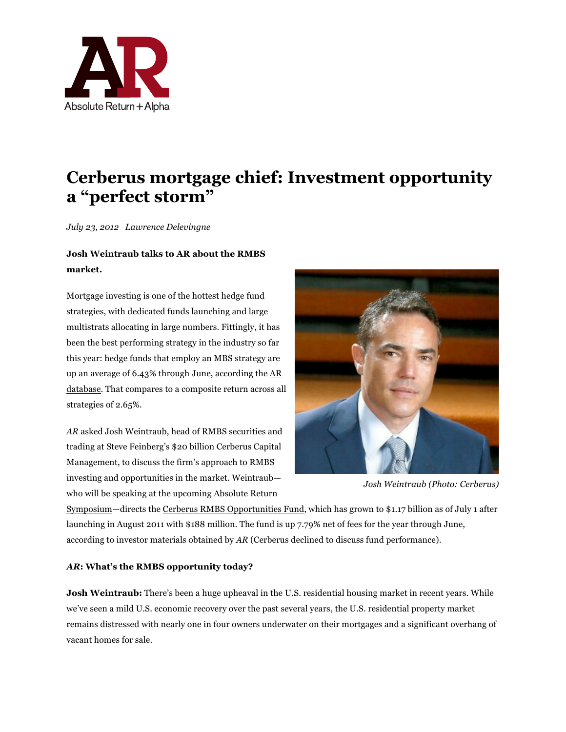

# **Cerberus mortgage chief: Investment opportunity a "perfect storm"**

*July 23, 2012 Lawrence Delevingne* 

## **Josh Weintraub talks to AR about the RMBS market.**

Mortgage investing is one of the hottest hedge fund strategies, with dedicated funds launching and large multistrats allocating in large numbers. Fittingly, it has been the best performing strategy in the industry so far this year: hedge funds that employ an MBS strategy are up an average of 6.43% through June, according the AR database. That compares to a composite return across all strategies of 2.65%.

*AR* asked Josh Weintraub, head of RMBS securities and trading at Steve Feinberg's \$20 billion Cerberus Capital Management, to discuss the firm's approach to RMBS investing and opportunities in the market. Weintraub who will be speaking at the upcoming Absolute Return



*Josh Weintraub (Photo: Cerberus)*

Symposium—directs the Cerberus RMBS Opportunities Fund, which has grown to \$1.17 billion as of July 1 after launching in August 2011 with \$188 million. The fund is up 7.79% net of fees for the year through June, according to investor materials obtained by *AR* (Cerberus declined to discuss fund performance).

### *AR***: What's the RMBS opportunity today?**

**Josh Weintraub:** There's been a huge upheaval in the U.S. residential housing market in recent years. While we've seen a mild U.S. economic recovery over the past several years, the U.S. residential property market remains distressed with nearly one in four owners underwater on their mortgages and a significant overhang of vacant homes for sale.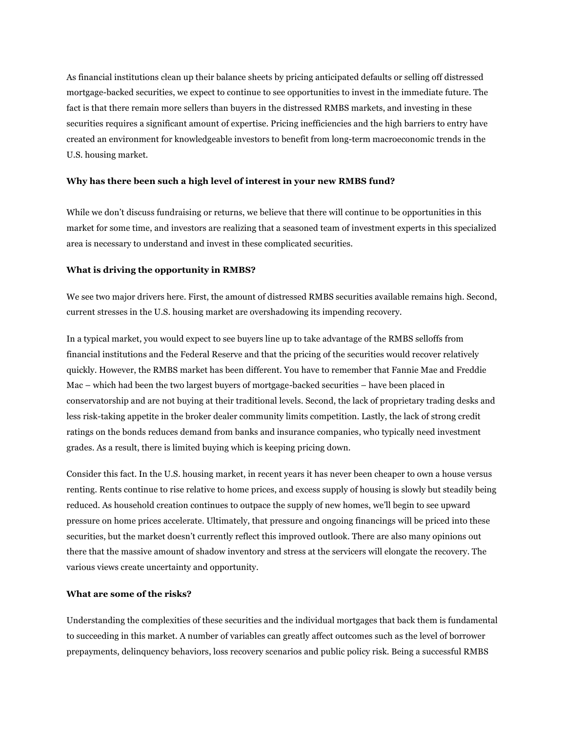As financial institutions clean up their balance sheets by pricing anticipated defaults or selling off distressed mortgage-backed securities, we expect to continue to see opportunities to invest in the immediate future. The fact is that there remain more sellers than buyers in the distressed RMBS markets, and investing in these securities requires a significant amount of expertise. Pricing inefficiencies and the high barriers to entry have created an environment for knowledgeable investors to benefit from long-term macroeconomic trends in the U.S. housing market.

#### **Why has there been such a high level of interest in your new RMBS fund?**

While we don't discuss fundraising or returns, we believe that there will continue to be opportunities in this market for some time, and investors are realizing that a seasoned team of investment experts in this specialized area is necessary to understand and invest in these complicated securities.

#### **What is driving the opportunity in RMBS?**

We see two major drivers here. First, the amount of distressed RMBS securities available remains high. Second, current stresses in the U.S. housing market are overshadowing its impending recovery.

In a typical market, you would expect to see buyers line up to take advantage of the RMBS selloffs from financial institutions and the Federal Reserve and that the pricing of the securities would recover relatively quickly. However, the RMBS market has been different. You have to remember that Fannie Mae and Freddie Mac – which had been the two largest buyers of mortgage-backed securities – have been placed in conservatorship and are not buying at their traditional levels. Second, the lack of proprietary trading desks and less risk-taking appetite in the broker dealer community limits competition. Lastly, the lack of strong credit ratings on the bonds reduces demand from banks and insurance companies, who typically need investment grades. As a result, there is limited buying which is keeping pricing down.

Consider this fact. In the U.S. housing market, in recent years it has never been cheaper to own a house versus renting. Rents continue to rise relative to home prices, and excess supply of housing is slowly but steadily being reduced. As household creation continues to outpace the supply of new homes, we'll begin to see upward pressure on home prices accelerate. Ultimately, that pressure and ongoing financings will be priced into these securities, but the market doesn't currently reflect this improved outlook. There are also many opinions out there that the massive amount of shadow inventory and stress at the servicers will elongate the recovery. The various views create uncertainty and opportunity.

#### **What are some of the risks?**

Understanding the complexities of these securities and the individual mortgages that back them is fundamental to succeeding in this market. A number of variables can greatly affect outcomes such as the level of borrower prepayments, delinquency behaviors, loss recovery scenarios and public policy risk. Being a successful RMBS